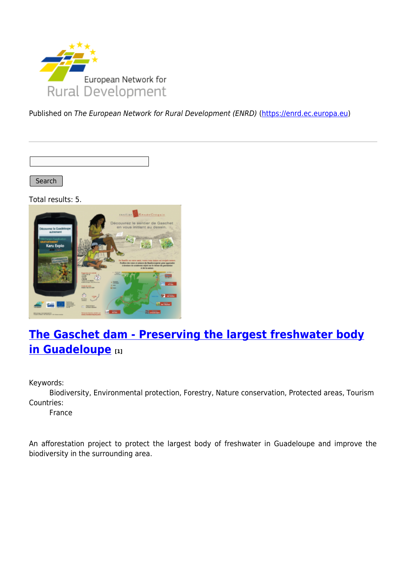

Published on The European Network for Rural Development (ENRD) [\(https://enrd.ec.europa.eu](https://enrd.ec.europa.eu))

Search

Total results: 5.



# **[The Gaschet dam - Preserving the largest freshwater body](https://enrd.ec.europa.eu/projects-practice/gaschet-dam-preserving-largest-freshwater-body-guadeloupe_en) [in Guadeloupe](https://enrd.ec.europa.eu/projects-practice/gaschet-dam-preserving-largest-freshwater-body-guadeloupe_en) [1]**

Keywords:

Biodiversity, Environmental protection, Forestry, Nature conservation, Protected areas, Tourism Countries:

France

An afforestation project to protect the largest body of freshwater in Guadeloupe and improve the biodiversity in the surrounding area.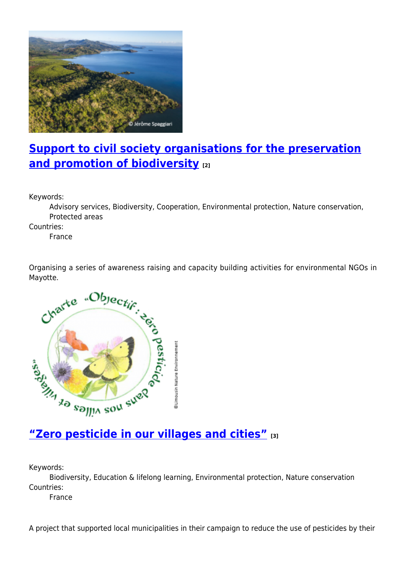

## **[Support to civil society organisations for the preservation](https://enrd.ec.europa.eu/projects-practice/support-civil-society-organisations-preservation-and-promotion-biodiversity_en) [and promotion of biodiversity](https://enrd.ec.europa.eu/projects-practice/support-civil-society-organisations-preservation-and-promotion-biodiversity_en) [2]**

Keywords:

Advisory services, Biodiversity, Cooperation, Environmental protection, Nature conservation, Protected areas

Countries:

France

Organising a series of awareness raising and capacity building activities for environmental NGOs in Mayotte.



Keywords:

Biodiversity, Education & lifelong learning, Environmental protection, Nature conservation Countries:

France

A project that supported local municipalities in their campaign to reduce the use of pesticides by their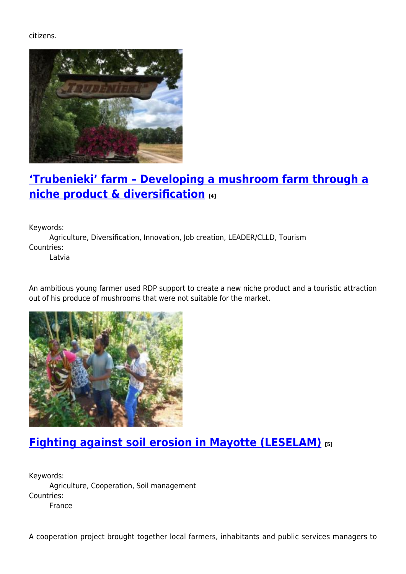citizens.



## **['Trubenieki' farm – Developing a mushroom farm through a](https://enrd.ec.europa.eu/projects-practice/trubenieki-farm-developing-mushroom-farm-through-niche-product-diversification_en) [niche product & diversification](https://enrd.ec.europa.eu/projects-practice/trubenieki-farm-developing-mushroom-farm-through-niche-product-diversification_en) [4]**

Keywords:

Agriculture, Diversification, Innovation, Job creation, LEADER/CLLD, Tourism Countries:

Latvia

An ambitious young farmer used RDP support to create a new niche product and a touristic attraction out of his produce of mushrooms that were not suitable for the market.



## **[Fighting against soil erosion in Mayotte \(LESELAM\)](https://enrd.ec.europa.eu/projects-practice/fighting-against-soil-erosion-mayotte-leselam_en) [5]**

Keywords: Agriculture, Cooperation, Soil management Countries: France

A cooperation project brought together local farmers, inhabitants and public services managers to